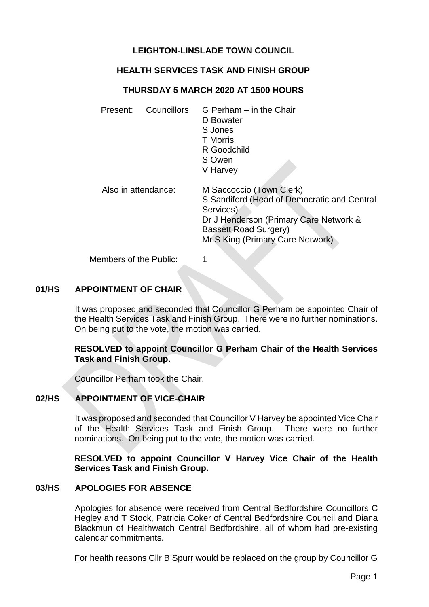# **LEIGHTON-LINSLADE TOWN COUNCIL**

## **HEALTH SERVICES TASK AND FINISH GROUP**

### **THURSDAY 5 MARCH 2020 AT 1500 HOURS**

| Present:               | Councillors | G Perham – in the Chair<br>D Bowater<br>S Jones<br><b>T</b> Morris<br>R Goodchild<br>S Owen<br>V Harvey                                                                                            |
|------------------------|-------------|----------------------------------------------------------------------------------------------------------------------------------------------------------------------------------------------------|
| Also in attendance:    |             | M Saccoccio (Town Clerk)<br>S Sandiford (Head of Democratic and Central<br>Services)<br>Dr J Henderson (Primary Care Network &<br><b>Bassett Road Surgery)</b><br>Mr S King (Primary Care Network) |
| Members of the Public: |             |                                                                                                                                                                                                    |

### **01/HS APPOINTMENT OF CHAIR**

It was proposed and seconded that Councillor G Perham be appointed Chair of the Health Services Task and Finish Group. There were no further nominations. On being put to the vote, the motion was carried.

### **RESOLVED to appoint Councillor G Perham Chair of the Health Services Task and Finish Group.**

Councillor Perham took the Chair.

## **02/HS APPOINTMENT OF VICE-CHAIR**

It was proposed and seconded that Councillor V Harvey be appointed Vice Chair of the Health Services Task and Finish Group. There were no further nominations. On being put to the vote, the motion was carried.

**RESOLVED to appoint Councillor V Harvey Vice Chair of the Health Services Task and Finish Group.** 

#### **03/HS APOLOGIES FOR ABSENCE**

Apologies for absence were received from Central Bedfordshire Councillors C Hegley and T Stock, Patricia Coker of Central Bedfordshire Council and Diana Blackmun of Healthwatch Central Bedfordshire, all of whom had pre-existing calendar commitments.

For health reasons Cllr B Spurr would be replaced on the group by Councillor G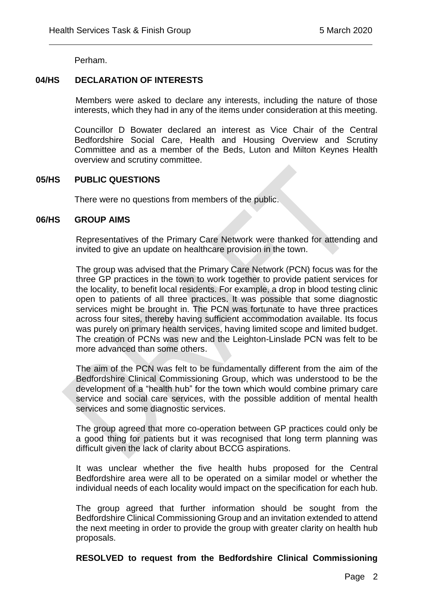Perham.

## **04/HS DECLARATION OF INTERESTS**

Members were asked to declare any interests, including the nature of those interests, which they had in any of the items under consideration at this meeting.

 $\overline{a}$ 

Councillor D Bowater declared an interest as Vice Chair of the Central Bedfordshire Social Care, Health and Housing Overview and Scrutiny Committee and as a member of the Beds, Luton and Milton Keynes Health overview and scrutiny committee.

#### **05/HS PUBLIC QUESTIONS**

There were no questions from members of the public.

#### **06/HS GROUP AIMS**

Representatives of the Primary Care Network were thanked for attending and invited to give an update on healthcare provision in the town.

The group was advised that the Primary Care Network (PCN) focus was for the three GP practices in the town to work together to provide patient services for the locality, to benefit local residents. For example, a drop in blood testing clinic open to patients of all three practices. It was possible that some diagnostic services might be brought in. The PCN was fortunate to have three practices across four sites, thereby having sufficient accommodation available. Its focus was purely on primary health services, having limited scope and limited budget. The creation of PCNs was new and the Leighton-Linslade PCN was felt to be more advanced than some others.

The aim of the PCN was felt to be fundamentally different from the aim of the Bedfordshire Clinical Commissioning Group, which was understood to be the development of a "health hub" for the town which would combine primary care service and social care services, with the possible addition of mental health services and some diagnostic services.

The group agreed that more co-operation between GP practices could only be a good thing for patients but it was recognised that long term planning was difficult given the lack of clarity about BCCG aspirations.

It was unclear whether the five health hubs proposed for the Central Bedfordshire area were all to be operated on a similar model or whether the individual needs of each locality would impact on the specification for each hub.

The group agreed that further information should be sought from the Bedfordshire Clinical Commissioning Group and an invitation extended to attend the next meeting in order to provide the group with greater clarity on health hub proposals.

## **RESOLVED to request from the Bedfordshire Clinical Commissioning**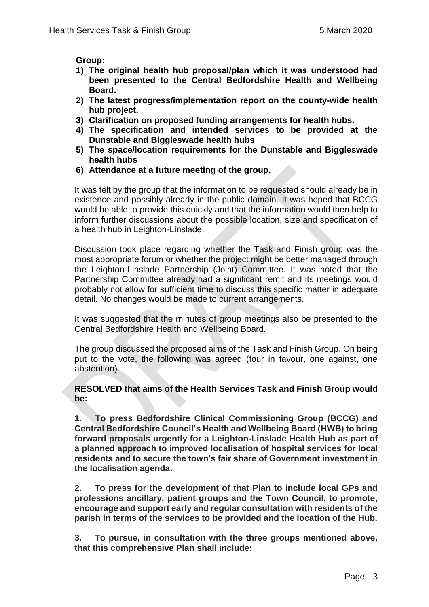**Group:** 

- **1) The original health hub proposal/plan which it was understood had been presented to the Central Bedfordshire Health and Wellbeing Board.**
- **2) The latest progress/implementation report on the county-wide health hub project.**
- **3) Clarification on proposed funding arrangements for health hubs.**

 $\overline{a}$ 

- **4) The specification and intended services to be provided at the Dunstable and Biggleswade health hubs**
- **5) The space/location requirements for the Dunstable and Biggleswade health hubs**
- **6) Attendance at a future meeting of the group.**

It was felt by the group that the information to be requested should already be in existence and possibly already in the public domain. It was hoped that BCCG would be able to provide this quickly and that the information would then help to inform further discussions about the possible location, size and specification of a health hub in Leighton-Linslade.

Discussion took place regarding whether the Task and Finish group was the most appropriate forum or whether the project might be better managed through the Leighton-Linslade Partnership (Joint) Committee. It was noted that the Partnership Committee already had a significant remit and its meetings would probably not allow for sufficient time to discuss this specific matter in adequate detail. No changes would be made to current arrangements.

It was suggested that the minutes of group meetings also be presented to the Central Bedfordshire Health and Wellbeing Board.

The group discussed the proposed aims of the Task and Finish Group. On being put to the vote, the following was agreed (four in favour, one against, one abstention).

**RESOLVED that aims of the Health Services Task and Finish Group would be:**

**1. To press Bedfordshire Clinical Commissioning Group (BCCG) and Central Bedfordshire Council's Health and Wellbeing Board (HWB) to bring forward proposals urgently for a Leighton-Linslade Health Hub as part of a planned approach to improved localisation of hospital services for local residents and to secure the town's fair share of Government investment in the localisation agenda.**

**2. To press for the development of that Plan to include local GPs and professions ancillary, patient groups and the Town Council, to promote, encourage and support early and regular consultation with residents of the parish in terms of the services to be provided and the location of the Hub.**

**3. To pursue, in consultation with the three groups mentioned above, that this comprehensive Plan shall include:**